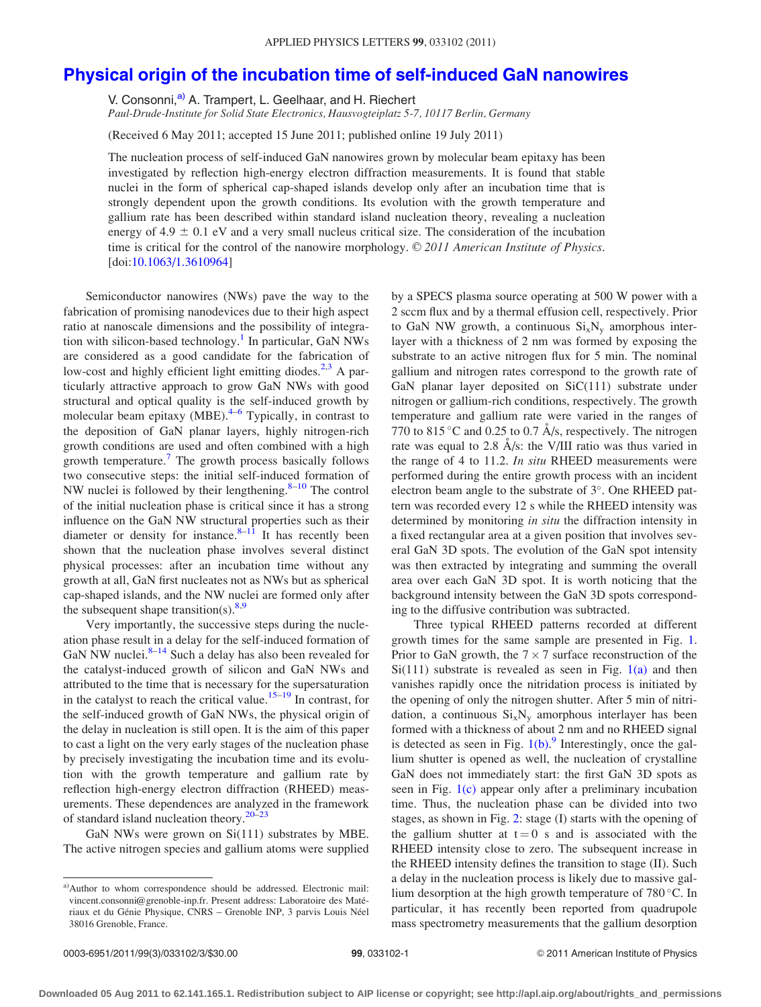## [Physical origin of the incubation time of self-induced GaN nanowires](http://dx.doi.org/10.1063/1.3610964)

V. Consonni,<sup>a)</sup> A. Trampert, L. Geelhaar, and H. Riechert

Paul-Drude-Institute for Solid State Electronics, Hausvogteiplatz 5-7, 10117 Berlin, Germany

(Received 6 May 2011; accepted 15 June 2011; published online 19 July 2011)

The nucleation process of self-induced GaN nanowires grown by molecular beam epitaxy has been investigated by reflection high-energy electron diffraction measurements. It is found that stable nuclei in the form of spherical cap-shaped islands develop only after an incubation time that is strongly dependent upon the growth conditions. Its evolution with the growth temperature and gallium rate has been described within standard island nucleation theory, revealing a nucleation energy of  $4.9 \pm 0.1$  eV and a very small nucleus critical size. The consideration of the incubation time is critical for the control of the nanowire morphology.  $\odot$  2011 American Institute of Physics. [doi:[10.1063/1.3610964\]](http://dx.doi.org/10.1063/1.3610964)

Semiconductor nanowires (NWs) pave the way to the fabrication of promising nanodevices due to their high aspect ratio at nanoscale dimensions and the possibility of integra-tion with silicon-based technology.<sup>[1](#page-2-0)</sup> In particular, GaN NWs are considered as a good candidate for the fabrication of low-cost and highly efficient light emitting diodes.<sup>2,3</sup> A particularly attractive approach to grow GaN NWs with good structural and optical quality is the self-induced growth by molecular beam epitaxy (MBE). $4-6$  Typically, in contrast to the deposition of GaN planar layers, highly nitrogen-rich growth conditions are used and often combined with a high growth temperature.<sup>[7](#page-2-0)</sup> The growth process basically follows two consecutive steps: the initial self-induced formation of NW nuclei is followed by their lengthening. $8-10$  The control of the initial nucleation phase is critical since it has a strong influence on the GaN NW structural properties such as their diameter or density for instance. $8-11$  It has recently been shown that the nucleation phase involves several distinct physical processes: after an incubation time without any growth at all, GaN first nucleates not as NWs but as spherical cap-shaped islands, and the NW nuclei are formed only after the subsequent shape transition(s). $8,9$ 

Very importantly, the successive steps during the nucleation phase result in a delay for the self-induced formation of GaN NW nuclei. $8-14$  Such a delay has also been revealed for the catalyst-induced growth of silicon and GaN NWs and attributed to the time that is necessary for the supersaturation in the catalyst to reach the critical value.<sup>[15](#page-2-0)–[19](#page-2-0)</sup> In contrast, for the self-induced growth of GaN NWs, the physical origin of the delay in nucleation is still open. It is the aim of this paper to cast a light on the very early stages of the nucleation phase by precisely investigating the incubation time and its evolution with the growth temperature and gallium rate by reflection high-energy electron diffraction (RHEED) measurements. These dependences are analyzed in the framework of standard island nucleation theory. $20-23$ 

GaN NWs were grown on Si(111) substrates by MBE. The active nitrogen species and gallium atoms were supplied by a SPECS plasma source operating at 500 W power with a 2 sccm flux and by a thermal effusion cell, respectively. Prior to GaN NW growth, a continuous  $Si_xN_y$  amorphous interlayer with a thickness of 2 nm was formed by exposing the substrate to an active nitrogen flux for 5 min. The nominal gallium and nitrogen rates correspond to the growth rate of GaN planar layer deposited on SiC(111) substrate under nitrogen or gallium-rich conditions, respectively. The growth temperature and gallium rate were varied in the ranges of 770 to 815 °C and 0.25 to 0.7 Å/s, respectively. The nitrogen rate was equal to 2.8  $\AA$ /s: the V/III ratio was thus varied in the range of 4 to 11.2. In situ RHEED measurements were performed during the entire growth process with an incident electron beam angle to the substrate of 3°. One RHEED pattern was recorded every 12 s while the RHEED intensity was determined by monitoring in situ the diffraction intensity in a fixed rectangular area at a given position that involves several GaN 3D spots. The evolution of the GaN spot intensity was then extracted by integrating and summing the overall area over each GaN 3D spot. It is worth noticing that the background intensity between the GaN 3D spots corresponding to the diffusive contribution was subtracted.

Three typical RHEED patterns recorded at different growth times for the same sample are presented in Fig. 1. Prior to GaN growth, the  $7 \times 7$  surface reconstruction of the  $Si(111)$  substrate is revealed as seen in Fig.  $1(a)$  and then vanishes rapidly once the nitridation process is initiated by the opening of only the nitrogen shutter. After 5 min of nitridation, a continuous  $Si_xN_y$  amorphous interlayer has been formed with a thickness of about 2 nm and no RHEED signal is detected as seen in Fig.  $1(b)$ . Interestingly, once the gallium shutter is opened as well, the nucleation of crystalline GaN does not immediately start: the first GaN 3D spots as seen in Fig. [1\(c\)](#page-1-0) appear only after a preliminary incubation time. Thus, the nucleation phase can be divided into two stages, as shown in Fig. [2:](#page-1-0) stage (I) starts with the opening of the gallium shutter at  $t = 0$  s and is associated with the RHEED intensity close to zero. The subsequent increase in the RHEED intensity defines the transition to stage (II). Such a delay in the nucleation process is likely due to massive gallium desorption at the high growth temperature of  $780^{\circ}$ C. In particular, it has recently been reported from quadrupole mass spectrometry measurements that the gallium desorption

a)Author to whom correspondence should be addressed. Electronic mail: vincent.consonni@grenoble-inp.fr. Present address: Laboratoire des Matériaux et du Génie Physique, CNRS - Grenoble INP, 3 parvis Louis Néel 38016 Grenoble, France.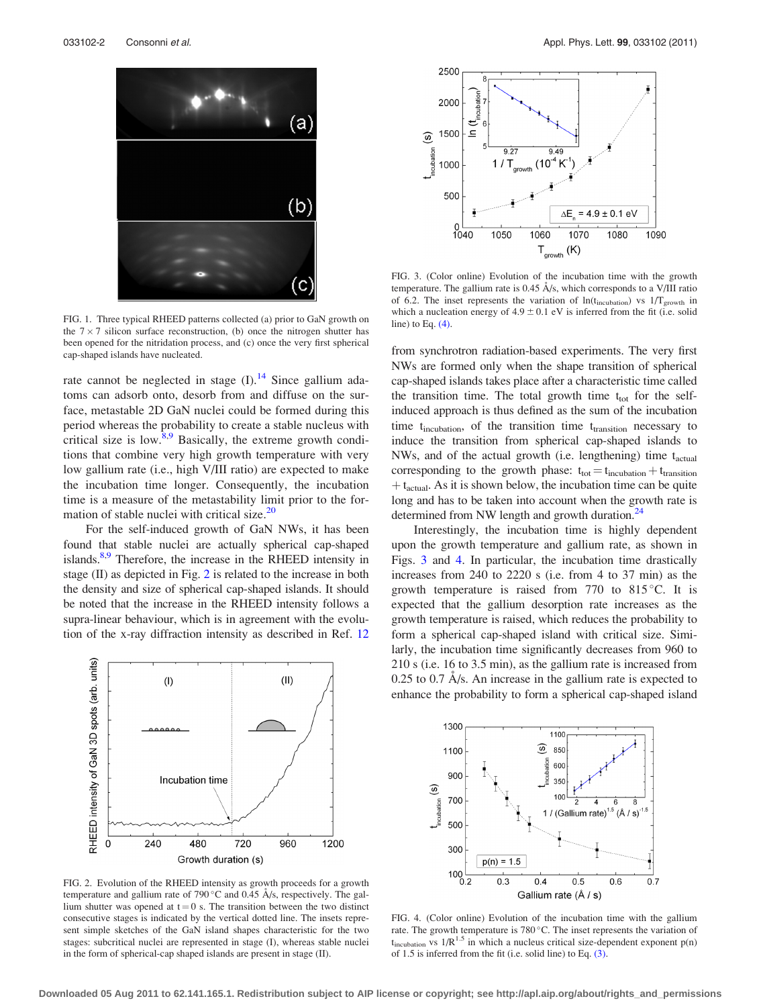<span id="page-1-0"></span>

FIG. 1. Three typical RHEED patterns collected (a) prior to GaN growth on the  $7 \times 7$  silicon surface reconstruction, (b) once the nitrogen shutter has been opened for the nitridation process, and (c) once the very first spherical cap-shaped islands have nucleated.

rate cannot be neglected in stage  $(I)$ .<sup>[14](#page-2-0)</sup> Since gallium adatoms can adsorb onto, desorb from and diffuse on the surface, metastable 2D GaN nuclei could be formed during this period whereas the probability to create a stable nucleus with critical size is low. $8.9$  Basically, the extreme growth conditions that combine very high growth temperature with very low gallium rate (i.e., high V/III ratio) are expected to make the incubation time longer. Consequently, the incubation time is a measure of the metastability limit prior to the formation of stable nuclei with critical size. $20$ 

For the self-induced growth of GaN NWs, it has been found that stable nuclei are actually spherical cap-shaped islands.<sup>8,[9](#page-2-0)</sup> Therefore, the increase in the RHEED intensity in stage  $(II)$  as depicted in Fig. 2 is related to the increase in both the density and size of spherical cap-shaped islands. It should be noted that the increase in the RHEED intensity follows a supra-linear behaviour, which is in agreement with the evolution of the x-ray diffraction intensity as described in Ref. [12](#page-2-0)



FIG. 2. Evolution of the RHEED intensity as growth proceeds for a growth temperature and gallium rate of 790 °C and 0.45 Å/s, respectively. The gallium shutter was opened at  $t = 0$  s. The transition between the two distinct consecutive stages is indicated by the vertical dotted line. The insets represent simple sketches of the GaN island shapes characteristic for the two stages: subcritical nuclei are represented in stage (I), whereas stable nuclei in the form of spherical-cap shaped islands are present in stage (II).



FIG. 3. (Color online) Evolution of the incubation time with the growth temperature. The gallium rate is  $0.45 \text{ Å/s}$ , which corresponds to a V/III ratio of 6.2. The inset represents the variation of  $ln(t_{\text{incubation}})$  vs  $1/T_{\text{growth}}$  in which a nucleation energy of  $4.9 \pm 0.1$  eV is inferred from the fit (i.e. solid line) to Eq.  $(4)$ .

from synchrotron radiation-based experiments. The very first NWs are formed only when the shape transition of spherical cap-shaped islands takes place after a characteristic time called the transition time. The total growth time  $t_{tot}$  for the selfinduced approach is thus defined as the sum of the incubation time t<sub>incubation</sub>, of the transition time t<sub>transition</sub> necessary to induce the transition from spherical cap-shaped islands to NWs, and of the actual growth (i.e. lengthening) time  $t_{\text{actual}}$ corresponding to the growth phase:  $t_{tot} = t_{incubation} + t_{transition}$  $+ t_{\text{actual}}$ . As it is shown below, the incubation time can be quite long and has to be taken into account when the growth rate is determined from NW length and growth duration.<sup>[24](#page-2-0)</sup>

Interestingly, the incubation time is highly dependent upon the growth temperature and gallium rate, as shown in Figs. [3](#page-2-0) and [4.](#page-2-0) In particular, the incubation time drastically increases from 240 to 2220 s (i.e. from 4 to 37 min) as the growth temperature is raised from  $770$  to  $815^{\circ}$ C. It is expected that the gallium desorption rate increases as the growth temperature is raised, which reduces the probability to form a spherical cap-shaped island with critical size. Similarly, the incubation time significantly decreases from 960 to 210 s (i.e. 16 to 3.5 min), as the gallium rate is increased from  $0.25$  to  $0.7$  A/s. An increase in the gallium rate is expected to enhance the probability to form a spherical cap-shaped island



FIG. 4. (Color online) Evolution of the incubation time with the gallium rate. The growth temperature is  $780^{\circ}$ C. The inset represents the variation of  $t_{\text{incubation}}$  vs  $1/R^{1.5}$  in which a nucleus critical size-dependent exponent  $p(n)$ of 1.5 is inferred from the fit (i.e. solid line) to Eq. [\(3\)](#page-2-0).

**Downloaded 05 Aug 2011 to 62.141.165.1. Redistribution subject to AIP license or copyright; see http://apl.aip.org/about/rights\_and\_permissions**